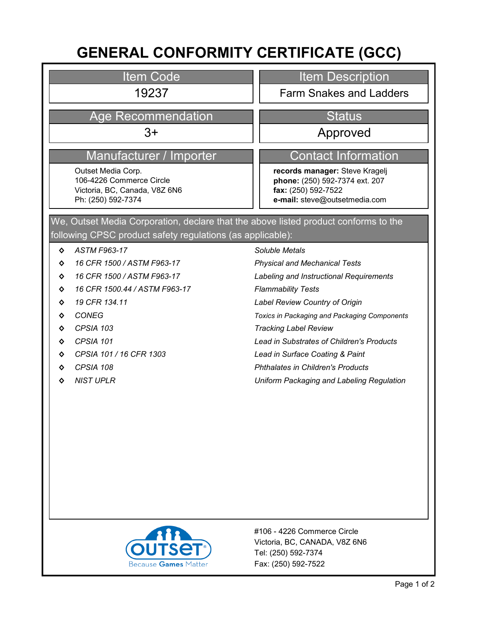# **GENERAL CONFORMITY CERTIFICATE (GCC)**

Item Code

## Age Recommendation New Status

### Manufacturer / Importer Contact Information

Outset Media Corp. 106-4226 Commerce Circle Victoria, BC, Canada, V8Z 6N6 Ph: (250) 592-7374

Item Description

19237 Farm Snakes and Ladders

3+ Approved

**records manager:** Steve Kragelj **phone:** (250) 592-7374 ext. 207 **fax:** (250) 592-7522 **e-mail:** steve@outsetmedia.com

following CPSC product safety regulations (as applicable): We, Outset Media Corporation, declare that the above listed product conforms to the

- **◊** *ASTM F963-17*
- **◊** *16 CFR 1500 / ASTM F963-17*
- **◊** *16 CFR 1500 / ASTM F963-17*
- **◊** *16 CFR 1500.44 / ASTM F963-17*
- **◊** *19 CFR 134.11*
- **◊** *CONEG*
- **◊** *CPSIA 103*
- **◊** *CPSIA 101*
- **◊** *CPSIA 101 / 16 CFR 1303*
- **◊** *CPSIA 108*
- **◊** *NIST UPLR*

#### *Soluble Metals*

*Physical and Mechanical Tests*

*Labeling and Instructional Requirements*

- *Flammability Tests*
- *Label Review Country of Origin*

*Toxics in Packaging and Packaging Components*

- *Tracking Label Review*
- *Lead in Substrates of Children's Products*
- *Lead in Surface Coating & Paint*
- *Phthalates in Children's Products*

*Uniform Packaging and Labeling Regulation*



Fax: (250) 592-7522 Tel: (250) 592-7374 Victoria, BC, CANADA, V8Z 6N6 #106 - 4226 Commerce Circle